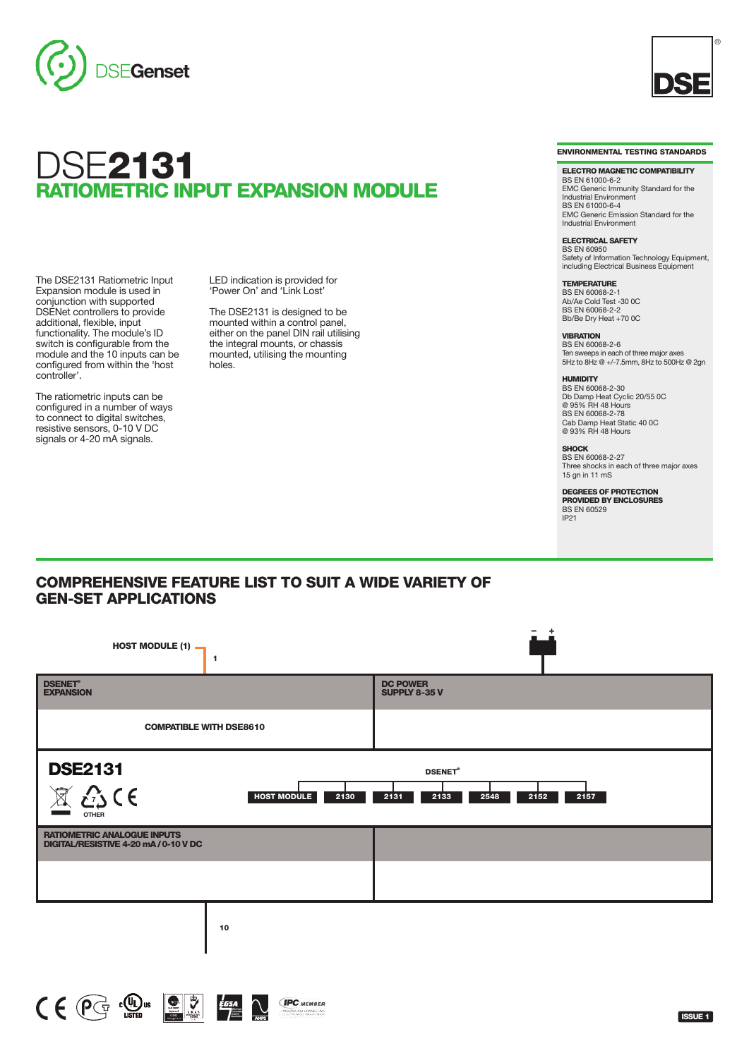

# dse**2131 RATIOMETRIC INPUT EXPANSION MODULE**

The DSE2131 Ratiometric Input Expansion module is used in conjunction with supported DSENet controllers to provide additional, flexible, input functionality. The module's ID switch is configurable from the module and the 10 inputs can be configured from within the 'host controller'.

The ratiometric inputs can be configured in a number of ways to connect to digital switches, resistive sensors, 0-10 V DC signals or 4-20 mA signals.

LED indication is provided for 'Power On' and 'Link Lost'

The DSE2131 is designed to be mounted within a control panel, either on the panel DIN rail utilising the integral mounts, or chassis mounted, utilising the mounting holes.



®

**ELECTRO MAGNETIC COMPATIBILITY** BS EN 61000-6-2 EMC Generic Immunity Standard for the Industrial Environment BS EN 61000-6-4 EMC Generic Emission Standard for the Industrial Environment

**ELECTRICAL SAFETY** BS EN 60950 Safety of Information Technology Equipment, including Electrical Business Equipment

**TEMPERATURE** BS EN 60068-2-1 Ab/Ae Cold Test -30 0C BS EN 60068-2-2 Bb/Be Dry Heat +70 0C

**VIBRATION** BS EN 60068-2-6  $55$   $\pm$   $\frac{35}{2}$   $\frac{3}{2}$   $\frac{3}{2}$   $\frac{3}{2}$   $\frac{3}{2}$   $\frac{3}{2}$   $\frac{3}{2}$   $\frac{3}{2}$   $\frac{3}{2}$   $\frac{3}{2}$   $\frac{3}{2}$   $\frac{3}{2}$   $\frac{3}{2}$   $\frac{3}{2}$   $\frac{3}{2}$   $\frac{3}{2}$   $\frac{3}{2}$   $\frac{3}{2}$   $\frac{3}{2}$   $\frac{3}{2}$   $\frac{3}{2}$  5Hz to 8Hz @ +/-7.5mm, 8Hz to 500Hz @ 2gn

**HUMIDITY** BS EN 60068-2-30

Db Damp Heat Cyclic 20/55 0C @ 95% RH 48 Hours BS EN 60068-2-78 Cab Damp Heat Static 40 0C @ 93% RH 48 Hours

**SHOCK** BS EN 60068-2-27 Three shocks in each of three major axes 15 gn in 11 mS

**DEGREES OF PROTECTION PROVIDED BY ENCLOSURES** BS EN 60529  $IP21$ 

### **COMPREHENSIVE FEATURE LIST TO SUIT A WIDE VARIETY OF GEN-SET APPLICATIONS**

| HOST MODULE $(1)$ $\rightarrow$<br>$\mathbf{1}$                                                                                              |                                         |
|----------------------------------------------------------------------------------------------------------------------------------------------|-----------------------------------------|
| <b>DSENET®</b><br><b>EXPANSION</b>                                                                                                           | <b>DC POWER</b><br><b>SUPPLY 8-35 V</b> |
| <b>COMPATIBLE WITH DSE8610</b>                                                                                                               |                                         |
| <b>DSE2131</b><br><b>DSENET®</b><br>25C<br>$\boxtimes$<br><b>HOST MODULE</b><br>2130<br>2131<br>2133<br>2157<br>2548<br>2152<br><b>OTHER</b> |                                         |
| <b>RATIOMETRIC ANALOGUE INPUTS</b><br>DIGITAL/RESISTIVE 4-20 mA/0-10 V DC                                                                    |                                         |
|                                                                                                                                              |                                         |
| 10                                                                                                                                           |                                         |